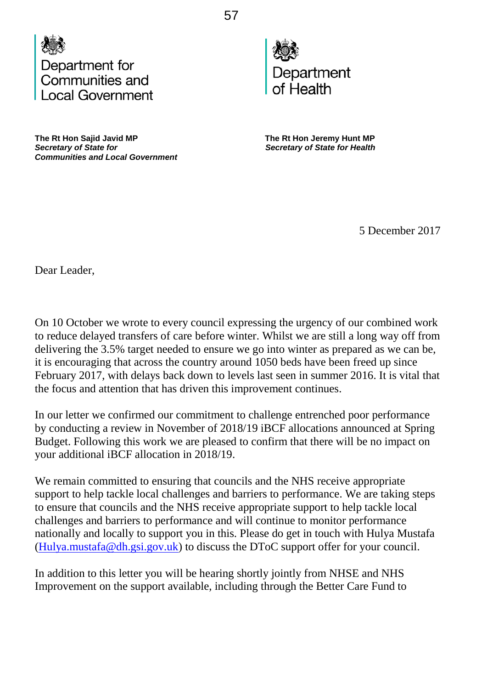



The Rt Hon Sajid Javid MP **The Rt Hon Jeremy Hunt MP**<br>Secretary of State for **The Secretary of State for Health** *Communities and Local Government* 

**Secretary of State for Health** 

5 December 2017

Dear Leader,

On 10 October we wrote to every council expressing the urgency of our combined work to reduce delayed transfers of care before winter. Whilst we are still a long way off from delivering the 3.5% target needed to ensure we go into winter as prepared as we can be, it is encouraging that across the country around 1050 beds have been freed up since February 2017, with delays back down to levels last seen in summer 2016. It is vital that the focus and attention that has driven this improvement continues.

In our letter we confirmed our commitment to challenge entrenched poor performance by conducting a review in November of 2018/19 iBCF allocations announced at Spring Budget. Following this work we are pleased to confirm that there will be no impact on your additional iBCF allocation in 2018/19.

We remain committed to ensuring that councils and the NHS receive appropriate support to help tackle local challenges and barriers to performance. We are taking steps to ensure that councils and the NHS receive appropriate support to help tackle local challenges and barriers to performance and will continue to monitor performance nationally and locally to support you in this. Please do get in touch with Hulya Mustafa  $(Hulya.mustafa@dh.gsi.gov.uk)$  to discuss the DToC support offer for your council.

In addition to this letter you will be hearing shortly jointly from NHSE and NHS Improvement on the support available, including through the Better Care Fund to